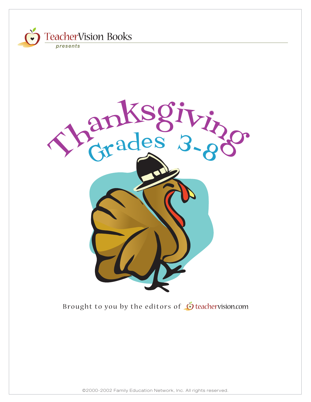

©2000-2002 Family Education Network, Inc. All rights reserved.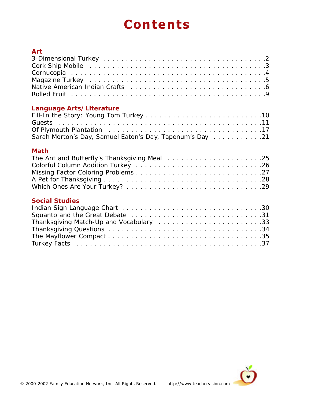# **Contents**

| <b>Art</b>                                               |  |
|----------------------------------------------------------|--|
|                                                          |  |
|                                                          |  |
|                                                          |  |
|                                                          |  |
|                                                          |  |
|                                                          |  |
| Language Arts/Literature                                 |  |
|                                                          |  |
|                                                          |  |
|                                                          |  |
| Sarah Morton's Day, Samuel Eaton's Day, Tapenum's Day 21 |  |
| <b>Math</b>                                              |  |
|                                                          |  |
|                                                          |  |
|                                                          |  |
|                                                          |  |
|                                                          |  |
| <b>Social Studies</b>                                    |  |
|                                                          |  |
|                                                          |  |
|                                                          |  |
|                                                          |  |
|                                                          |  |
|                                                          |  |
|                                                          |  |

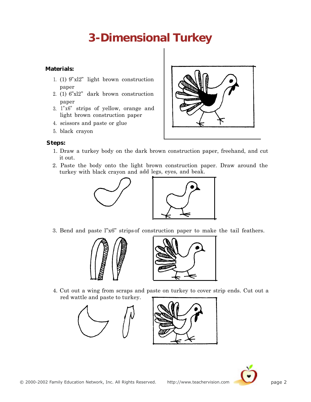## **3-Dimensional Turkey**

#### <span id="page-2-0"></span>**Materials:**

- 1. (1) 9"xl2" light brown construction paper
- 2. (1) 6"xl2" dark brown construction paper
- 3. 1" x6" strips of yellow, orange and light brown construction paper
- 4. scissors and paste or glue
- 5. black crayon

#### **Steps:**

- 1. Draw a turkey body on the dark brown construction paper, freehand, and cut it out.
- 2. Paste the body onto the light brown construction paper. Draw around the turkey with black crayon and add legs, eyes, and beak.

?





3. Bend and paste l"x6" strips of construction paper to make the tail feathers.





4. Cut out a wing from scraps and paste on turkey to cover strip ends. Cut out a red wattle and paste to turkey.





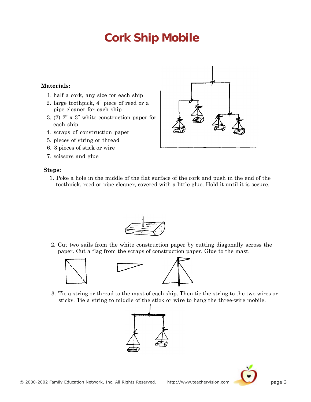## **Cork Ship Mobile**

#### <span id="page-3-0"></span>**Materials:**

- 1. half a cork, any size for each ship
- 2. large toothpick, 4" piece of reed or a pipe cleaner for each ship
- 3. (2) 2" x 3" white construction paper for each ship
- 4. scraps of construction paper
- 5. pieces of string or thread
- 6. 3 pieces of stick or wire
- 7. scissors and glue

#### **Steps:**

- 1. Poke a hole in the middle of the flat surface of the cork and push in the end of the toothpick, reed or pipe cleaner, covered with a little glue. Hold it until it is secure.
	-
- 2. Cut two sails from the white construction paper by cutting diagonally across the paper. Cut a flag from the scraps of construction paper. Glue to the mast.



3. Tie a string or thread to the mast of each ship. Then tie the string to the two wires or sticks. Tie a string to middle of the stick or wire to hang the three-wire mobile.







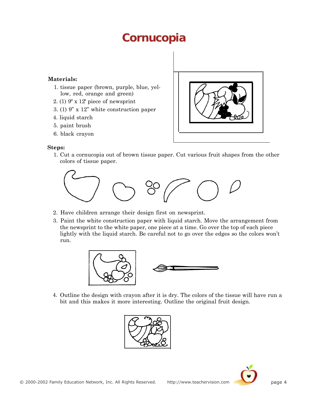### **Cornucopia**

#### <span id="page-4-0"></span>**Materials:**

- 1. tissue paper (brown, purple, blue, yellow, red, orange and green)
- 2. (1) 9" x 12" piece of newsprint
- 3. (1) 9" x 12" white construction paper
- 4. liquid starch
- 5. paint brush
- 6. black crayon

#### **Steps:**

1. Cut a cornucopia out of brown tissue paper. Cut various fruit shapes from the other colors of tissue paper.



- 2. Have children arrange their design first on newsprint.
- 3. Paint the white construction paper with liquid starch. Move the arrangement from the newsprint to the white paper, one piece at a time. Go over the top of each piece lightly with the liquid starch. Be careful not to go over the edges so the colors won't run.



4. Outline the design with crayon after it is dry. The colors of the tissue will have run a bit and this makes it more interesting. Outline the original fruit design.



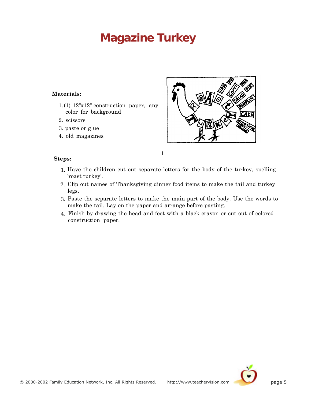## <span id="page-5-0"></span>**Magazine Turkey**

#### **Materials:**

- 1. (1)  $12"x12"$  construction paper, any color for background
- 2. scissors
- 3. paste or glue
- 4. old magazines



#### **Steps:**

- 1. Have the children cut out separate letters for the body of the turkey, spelling 'roast turkey'.
- 2. Clip out names of Thanksgiving dinner food items to make the tail and turkey legs.
- 3. Paste the separate letters to make the main part of the body. Use the words to make the tail. Lay on the paper and arrange before pasting.
- 4. Finish by drawing the head and feet with a black crayon or cut out of colored construction paper.

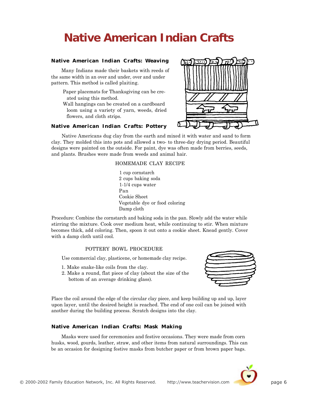## <span id="page-6-0"></span>**Native American Indian Crafts**

#### **Native American Indian Crafts: Weaving**

Many Indians made their baskets with reeds of the same width in an over and under, over and under pattern. This method is called plaiting.

- Paper placemats for Thanksgiving can be created using this method.
- Wall hangings can be created on a cardboard loom using a variety of yarn, weeds, dried flowers, and cloth strips.

#### **Native American Indian Crafts: Pottery**



Native Americans dug clay from the earth and mixed it with water and sand to form clay. They molded this into pots and allowed a two- to three-day drying period. Beautiful designs were painted on the outside. For paint, dye was often made from berries, seeds, and plants. Brushes were made from weeds and animal hair.

#### HOMEMADE CLAY RECIPE

1 cup cornstarch 2 cups baking soda 1-1/4 cups water Pan Cookie Sheet Vegetable dye or food coloring Damp cloth

Procedure: Combine the cornstarch and baking soda in the pan. Slowly add the water while stirring the mixture. Cook over medium heat, while continuing to stir. When mixture becomes thick, add coloring. Then, spoon it out onto a cookie sheet. Knead gently. Cover with a damp cloth until cool.

#### POTTERY BOWL PROCEDURE

Use commercial clay, plasticene, or homemade clay recipe.

- 1. Make snake-like coils from the clay.
- 2. Make a round, flat piece of clay (about the size of the bottom of an average drinking glass).



Place the coil around the edge of the circular clay piece, and keep building up and up, layer upon layer, until the desired height is reached. The end of one coil can be joined with another during the building process. Scratch designs into the clay.

#### **Native American Indian Crafts: Mask Making**

Masks were used for ceremonies and festive occasions. They were made from corn husks, wood, gourds, leather, straw, and other items from natural surroundings. This can be an occasion for designing festive masks from butcher paper or from brown paper bags.

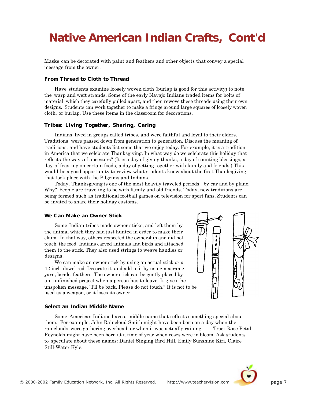## **Native American Indian Crafts, Cont'd**

Masks can be decorated with paint and feathers and other objects that convey a special message from the owner.

#### **From Thread to Cloth to Thread**

Have students examine loosely woven cloth (burlap is good for this activity) to note the warp and weft strands. Some of the early Navajo Indians traded items for bolts of material which they carefully pulled apart, and then rewove these threads using their own designs. Students can work together to make a fringe around large squares of loosely woven cloth, or burlap. Use these items in the classroom for decorations.

#### **Tribes: Living Together, Sharing, Caring**

Indians lived in groups called tribes, and were faithful and loyal to their elders. Traditions were passed down from generation to generation. Discuss the meaning of traditions, and have students list some that we enjoy today. For example, it is a tradition in America that we celebrate Thanksgiving. In what way do we celebrate this holiday that reflects the ways of ancestors? (It is a day of giving thanks, a day of counting blessings, a day of feasting on certain foods, a day of getting together with family and friends.) This would be a good opportunity to review what students know about the first Thanksgiving that took place with the Pilgrims and Indians.

Today, Thanksgiving is one of the most heavily traveled periods by car and by plane. Why? People are traveling to be with family and old friends. Today, new traditions are being formed such as traditional football games on television for sport fans. Students can be invited to share their holiday customs.

#### **We Can Make an Owner Stick**

Some Indian tribes made owner sticks, and left them by the animal which they had just hunted in order to make their claim. In that way, others respected the ownership and did not # touch the food. Indians carved animals and birds and attached them to the stick. They also used strings to weave handles or designs.

used as a weapon, or it loses its owner. an unfinished project when a person has to leave. It gives the unspoken message, "I'll be back. Please do not touch." It is not to be We can make an owner stick by using an actual stick or a 12-inch dowel rod. Decorate it, and add to it by using macrame yarn, beads, feathers. The owner stick can be gently placed by

#### **Select an Indian Middle Name**

Some American Indians have a middle name that reflects something special about them. For example, John Raincloud Smith might have been born on a day when the rainclouds were gathering overhead, or when it was actually raining. Traci Rose Petal Reynolds might have been born at a time of year when roses were in bloom. Ask students to speculate about these names: Daniel Singing Bird Hill, Emily Sunshine Kiri, Claire Still-Water Kyle.



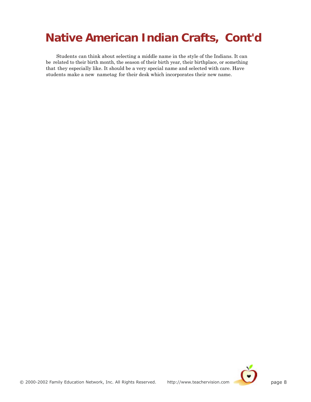## **Native American Indian Crafts, Cont'd**

Students can think about selecting a middle name in the style of the Indians. It can be related to their birth month, the season of their birth year, their birthplace, or something that they especially like. It should be a very special name and selected with care. Have students make a new nametag for their desk which incorporates their new name.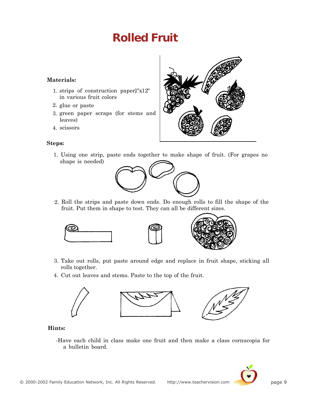## **Rolled Fruit**

#### <span id="page-9-0"></span>**Materials:**

- 1. strips of construction paper1"x12" in various fruit colors
- 2. glue or paste
- 3. green paper scraps (for stems and leaves)
- 4. scissors

#### **Steps:**:



1. Using one strip, paste ends together to make shape of fruit. (For grapes no shape is needed)



2. Roll the strips and paste down ends. Do enough rolls to fill the shape of the fruit. Put them in shape to test. They can all be different sizes.



- 3. Take out rolls, put paste around edge and replace in fruit shape, sticking all rolls together.
- 4. Cut out leaves and stems. Paste to the top of the fruit.



#### **Hints:**

-Have each child in class make one fruit and then make a class cornucopia for a bulletin board.

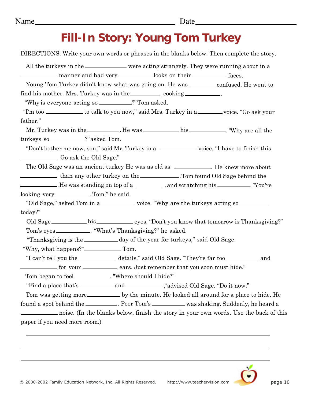## **Fill-In Story: Young Tom Turkey**

<span id="page-10-0"></span>DIRECTIONS: Write your own words or phrases in the blanks below. Then complete the story. All the turkeys in the wave meaning strangely. They were running about in a manner and had very induced books on their faces. Young Tom Turkey didn't know what was going on. He was \_\_\_\_\_\_\_ confused. He went to find his mother. Mrs. Turkey was in the , cooking . "Why is everyone acting so \_\_\_\_\_\_\_\_\_\_?" Tom asked. "I'm too \_\_\_\_\_\_\_\_\_ to talk to you now," said Mrs. Turkey in a \_\_\_\_\_\_\_ voice. "Go ask your father." Mr. Turkey was in the \_\_\_\_\_\_\_\_\_. He was \_\_\_\_\_\_\_\_\_\_\_\_ his \_\_\_\_\_\_\_\_\_\_. "Why are all the turkeys so \_\_\_\_\_\_\_\_\_\_?" asked Tom. "Don't bother me now, son," said Mr. Turkey in a \_\_\_\_\_\_\_\_\_\_\_\_\_ voice. "I have to finish this Go ask the Old Sage." The Old Sage was an ancient turkey He was as old as \_\_\_\_\_\_\_\_\_\_\_. He knew more about than any other turkey on the \_\_\_\_\_\_\_\_\_\_\_. Tom found Old Sage behind the . He was standing on top of a \_\_\_\_\_\_\_\_\_\_\_ , and scratching his \_\_\_\_\_\_\_\_\_\_. "You're looking very \_\_\_\_\_\_\_\_\_\_\_\_\_\_\_, Tom," he said. "Old Sage," asked Tom in a \_\_\_\_\_\_\_\_\_\_\_ voice. "Why are the turkeys acting so \_\_\_\_\_\_\_ today?" Old Sage his eyes. "Don't you know that tomorrow is Thanksgiving?" Tom's eyes \_\_\_\_\_\_\_\_\_\_\_. "What's Thanksgiving?" he asked. "Thanksgiving is the <u>election of</u> day of the year for turkeys," said Old Sage. "Why, what happens?" Tom. "I can't tell you the \_\_\_\_\_\_\_\_\_ details," said Old Sage. "They're far too \_\_\_\_\_\_\_\_\_ and for your ears. Just remember that you soon must hide." Tom began to feel\_\_\_\_\_\_\_\_\_\_\_\_\_. "Where should I hide?" "Find a place that's and ," advised Old Sage. "Do it now." Tom was getting more by the minute. He looked all around for a place to hide. He found a spot behind the \_\_\_\_\_\_\_\_\_. Poor Tom's \_\_\_\_\_\_\_\_\_ was shaking. Suddenly, he heard a noise. (In the blanks below, finish the story in your own words. Use the back of this paper if you need more room.)

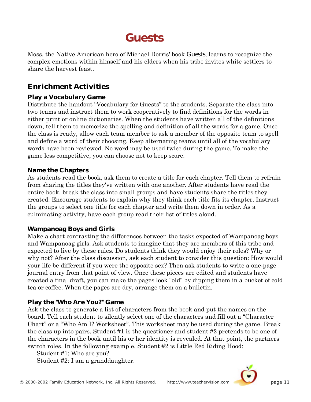## **Guests**

<span id="page-11-0"></span>Moss, the Native American hero of Michael Dorris' book *Guests*, learns to recognize the complex emotions within himself and his elders when his tribe invites white settlers to share the harvest feast.

### **Enrichment Activities**

### **Play a Vocabulary Game**

Distribute the handout "Vocabulary for Guests" to the students. Separate the class into two teams and instruct them to work cooperatively to find definitions for the words in either print or online dictionaries. When the students have written all of the definitions down, tell them to memorize the spelling and definition of all the words for a game. Once the class is ready, allow each team member to ask a member of the opposite team to spell and define a word of their choosing. Keep alternating teams until all of the vocabulary words have been reviewed. No word may be used twice during the game. To make the game less competitive, you can choose not to keep score.

### **Name the Chapters**

As students read the book, ask them to create a title for each chapter. Tell them to refrain from sharing the titles they've written with one another. After students have read the entire book, break the class into small groups and have students share the titles they created. Encourage students to explain why they think each title fits its chapter. Instruct the groups to select one title for each chapter and write them down in order. As a culminating activity, have each group read their list of titles aloud.

### **Wampanoag Boys and Girls**

Make a chart contrasting the differences between the tasks expected of Wampanoag boys and Wampanoag girls. Ask students to imagine that they are members of this tribe and expected to live by these rules. Do students think they would enjoy their roles? Why or why not? After the class discussion, ask each student to consider this question: How would your life be different if you were the opposite sex? Then ask students to write a one-page journal entry from that point of view. Once these pieces are edited and students have created a final draft, you can make the pages look "old" by dipping them in a bucket of cold tea or coffee. When the pages are dry, arrange them on a bulletin.

### **Play the "Who Are You?" Game**

Ask the class to generate a list of characters from the book and put the names on the board. Tell each student to silently select one of the characters and fill out a "Character Chart" or a "Who Am I? Worksheet". This worksheet may be used during the game. Break the class up into pairs. Student #1 is the questioner and student #2 pretends to be one of the characters in the book until his or her identity is revealed. At that point, the partners switch roles. In the following example, Student #2 is Little Red Riding Hood:

Student #1: Who are you?

Student #2: I am a granddaughter.

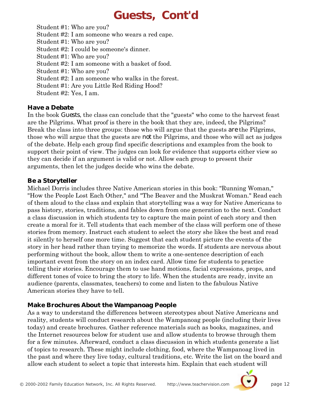## **Guests, Cont'd**

Student #1: Who are you? Student #2: I am someone who wears a red cape. Student #1: Who are you? Student #2: I could be someone's dinner. Student #1: Who are you? Student #2: I am someone with a basket of food. Student #1: Who are you? Student #2: I am someone who walks in the forest. Student #1: Are you Little Red Riding Hood? Student #2: Yes, I am.

### **Have a Debate**

In the book *Guests*, the class can conclude that the "guests" who come to the harvest feast are the Pilgrims. What proof is there in the book that they are, indeed, the Pilgrims? Break the class into three groups: those who will argue that the guests *are* the Pilgrims, those who will argue that the guests are *not* the Pilgrims, and those who will act as judges of the debate. Help each group find specific descriptions and examples from the book to support their point of view. The judges can look for evidence that supports either view so they can decide if an argument is valid or not. Allow each group to present their arguments, then let the judges decide who wins the debate.

### **Be a Storyteller**

Michael Dorris includes three Native American stories in this book: "Running Woman," "How the People Lost Each Other," and "The Beaver and the Muskrat Woman." Read each of them aloud to the class and explain that storytelling was a way for Native Americans to pass history, stories, traditions, and fables down from one generation to the next. Conduct a class discussion in which students try to capture the main point of each story and then create a moral for it. Tell students that each member of the class will perform one of these stories from memory. Instruct each student to select the story she likes the best and read it silently to herself one more time. Suggest that each student picture the events of the story in her head rather than trying to memorize the words. If students are nervous about performing without the book, allow them to write a one-sentence description of each important event from the story on an index card. Allow time for students to practice telling their stories. Encourage them to use hand motions, facial expressions, props, and different tones of voice to bring the story to life. When the students are ready, invite an audience (parents, classmates, teachers) to come and listen to the fabulous Native American stories they have to tell.

### **Make Brochures About the Wampanoag People**

As a way to understand the differences between stereotypes about Native Americans and reality, students will conduct research about the Wampanoag people (including their lives today) and create brochures. Gather reference materials such as books, magazines, and the Internet resources below for student use and allow students to browse through them for a few minutes. Afterward, conduct a class discussion in which students generate a list of topics to research. These might include clothing, food, where the Wampanoag lived in the past and where they live today, cultural traditions, etc. Write the list on the board and allow each student to select a topic that interests him. Explain that each student will

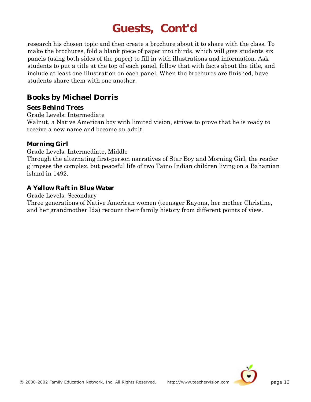## **Guests, Cont'd**

research his chosen topic and then create a brochure about it to share with the class. To make the brochures, fold a blank piece of paper into thirds, which will give students six panels (using both sides of the paper) to fill in with illustrations and information. Ask students to put a title at the top of each panel, follow that with facts about the title, and include at least one illustration on each panel. When the brochures are finished, have students share them with one another.

### **Books by Michael Dorris**

#### *Sees Behind Trees*

Grade Levels: Intermediate

Walnut, a Native American boy with limited vision, strives to prove that he is ready to receive a new name and become an adult.

#### *Morning Girl*

Grade Levels: Intermediate, Middle

Through the alternating first-person narratives of Star Boy and Morning Girl, the reader glimpses the complex, but peaceful life of two Taino Indian children living on a Bahamian island in 1492.

### *A Yellow Raft in Blue Water*

Grade Levels: Secondary

Three generations of Native American women (teenager Rayona, her mother Christine, and her grandmother Ida) recount their family history from different points of view.

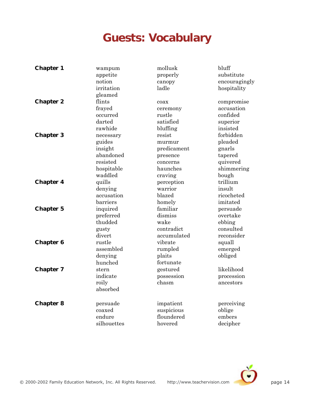## **Guests: Vocabulary**

| <b>Chapter 1</b> | wampum      | mollusk     | bluff         |
|------------------|-------------|-------------|---------------|
|                  | appetite    | properly    | substitute    |
|                  | notion      | canopy      | encouragingly |
|                  | irritation  | ladle       | hospitality   |
|                  | gleamed     |             |               |
| <b>Chapter 2</b> | flints      | coax        | compromise    |
|                  | frayed      | ceremony    | accusation    |
|                  | occurred    | rustle      | confided      |
|                  | darted      | satisfied   | superior      |
|                  | rawhide     | bluffing    | insisted      |
| <b>Chapter 3</b> | necessary   | resist      | forbidden     |
|                  | guides      | murmur      | pleaded       |
|                  | insight     | predicament | gnarls        |
|                  | abandoned   | presence    | tapered       |
|                  | resisted    | concerns    | quivered      |
|                  | hospitable  | haunches    | shimmering    |
|                  | waddled     | craving     | bough         |
| <b>Chapter 4</b> | quills      | perception  | trillium      |
|                  | denying     | warrior     | insult        |
|                  | accusation  | blazed      | ricocheted    |
|                  | barriers    | homely      | imitated      |
| <b>Chapter 5</b> | inquired    | familiar    | persuade      |
|                  | preferred   | dismiss     | overtake      |
|                  | thudded     | wake        | ebbing        |
|                  | gusty       | contradict  | consulted     |
|                  | divert      | accumulated | reconsider    |
| <b>Chapter 6</b> | rustle      | vibrate     | squall        |
|                  | assembled   | rumpled     | emerged       |
|                  | denying     | plaits      | obliged       |
|                  | hunched     | fortunate   |               |
| <b>Chapter 7</b> | stern       | gestured    | likelihood    |
|                  | indicate    | possession  | procession    |
|                  | roily       | chasm       | ancestors     |
|                  | absorbed    |             |               |
| <b>Chapter 8</b> | persuade    | impatient   | perceiving    |
|                  | coaxed      | suspicious  | oblige        |
|                  | endure      | floundered  | embers        |
|                  | silhouettes | hovered     | decipher      |

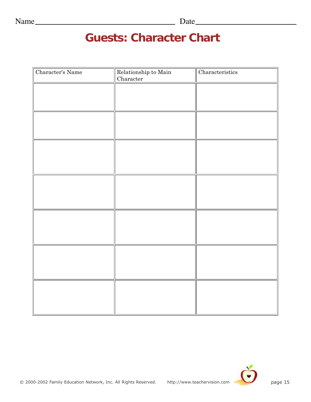## **Guests: Character Chart**

| Character's Name | Relationship to Main<br>Character | Characteristics |
|------------------|-----------------------------------|-----------------|
|                  |                                   |                 |
|                  |                                   |                 |
|                  |                                   |                 |
|                  |                                   |                 |
|                  |                                   |                 |
|                  |                                   |                 |
|                  |                                   |                 |
|                  |                                   |                 |
|                  |                                   |                 |
|                  |                                   |                 |
|                  |                                   |                 |
|                  |                                   |                 |
|                  |                                   |                 |
|                  |                                   |                 |

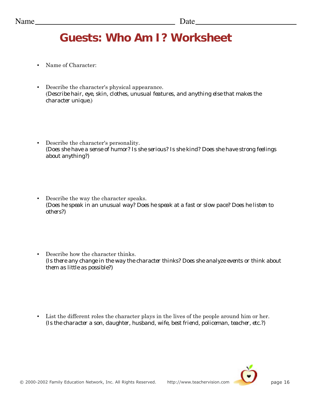# **Guests: Who Am I? Worksheet**

- Name of Character:
- Describe the character's physical appearance. (*Describe hair, eye, skin, clothes, unusual features, and anything else that makes the character unique.*)
- Describe the character's personality. *(Does she have a sense of humor? Is she serious? Is she kind? Does she have strong feelings about anything?)*
- Describe the way the character speaks. *(Does he speak in an unusual way? Does he speak at a fast or slow pace? Does he listen to others?)*
- Describe how the character thinks. *(Is there any change in the way the character thinks? Does she analyze events or think about them as little as possible?)*

• List the different roles the character plays in the lives of the people around him or her. *(Is the character a son, daughter, husband, wife, best friend, policeman, teacher, etc.?)*

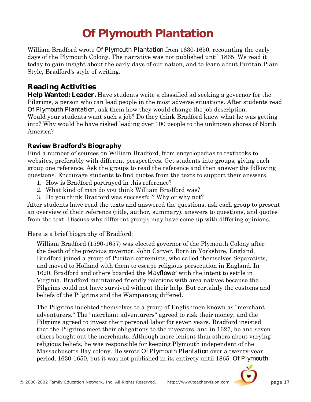# **Of Plymouth Plantation**

<span id="page-17-0"></span>William Bradford wrote *Of Plymouth Plantation* from 1630-1650, recounting the early days of the Plymouth Colony. The narrative was not published until 1865. We read it today to gain insight about the early days of our nation, and to learn about Puritan Plain Style, Bradford's style of writing.

### **Reading Activities**

**Help Wanted: Leader.** Have students write a classified ad seeking a governor for the Pilgrims, a person who can lead people in the most adverse situations. After students read *Of Plymouth Plantation*, ask them how they would change the job description. Would your students want such a job? Do they think Bradford knew what he was getting into? Why would he have risked leading over 100 people to the unknown shores of North

America?

### **Review Bradford's Biography**

Find a number of sources on William Bradford, from encyclopedias to textbooks to websites, preferably with different perspectives. Get students into groups, giving each group one reference. Ask the groups to read the reference and then answer the following questions. Encourage students to find quotes from the texts to support their answers.

- 1. How is Bradford portrayed in this reference?
- 2. What kind of man do you think William Bradford was?
- 3. Do you think Bradford was successful? Why or why not?

After students have read the texts and answered the questions, ask each group to present an overview of their reference (title, author, summary), answers to questions, and quotes from the text. Discuss why different groups may have come up with differing opinions.

Here is a brief biography of Bradford:

William Bradford (1590-1657) was elected governor of the Plymouth Colony after the death of the previous governor, John Carver. Born in Yorkshire, England, Bradford joined a group of Puritan extremists, who called themselves Separatists, and moved to Holland with them to escape religious persecution in England. In 1620, Bradford and others boarded the *Mayflower* with the intent to settle in Virginia. Bradford maintained friendly relations with area natives because the Pilgrims could not have survived without their help. But certainly the customs and beliefs of the Pilgrims and the Wampanoag differed.

The Pilgrims indebted themselves to a group of Englishmen known as "merchant adventurers." The "merchant adventurers" agreed to risk their money, and the Pilgrims agreed to invest their personal labor for seven years. Bradford insisted that the Pilgrims meet their obligations to the investors, and in 1627, he and seven others bought out the merchants. Although more lenient than others about varying religious beliefs, he was responsible for keeping Plymouth independent of the Massachusetts Bay colony. He wrote *Of Plymouth Plantation* over a twenty-year period, 1630-1650, but it was not published in its entirety until 1865. *Of Plymouth*

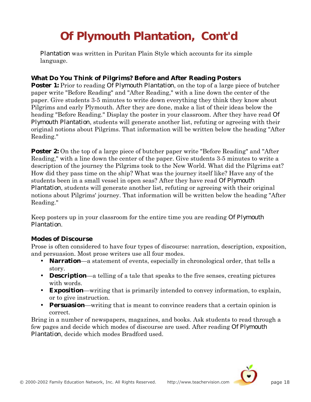# **Of Plymouth Plantation, Cont'd**

*Plantation* was written in Puritan Plain Style which accounts for its simple language.

#### **What Do You Think of Pilgrims? Before and After Reading Posters**

**Poster 1:** Prior to reading *Of Plymouth Plantation*, on the top of a large piece of butcher paper write "Before Reading" and "After Reading," with a line down the center of the paper. Give students 3-5 minutes to write down everything they think they know about Pilgrims and early Plymouth. After they are done, make a list of their ideas below the heading "Before Reading." Display the poster in your classroom. After they have read *Of Plymouth Plantation*, students will generate another list, refuting or agreeing with their original notions about Pilgrims. That information will be written below the heading "After Reading."

**Poster 2:** On the top of a large piece of butcher paper write "Before Reading" and "After Reading," with a line down the center of the paper. Give students 3-5 minutes to write a description of the journey the Pilgrims took to the New World. What did the Pilgrims eat? How did they pass time on the ship? What was the journey itself like? Have any of the students been in a small vessel in open seas? After they have read *Of Plymouth Plantation*, students will generate another list, refuting or agreeing with their original notions about Pilgrims' journey. That information will be written below the heading "After Reading."

Keep posters up in your classroom for the entire time you are reading *Of Plymouth Plantation*.

#### **Modes of Discourse**

Prose is often considered to have four types of discourse: narration, description, exposition, and persuasion. Most prose writers use all four modes.

- **Narration**—a statement of events, especially in chronological order, that tells a story.
- **Description**—a telling of a tale that speaks to the five senses, creating pictures with words.
- **Exposition**—writing that is primarily intended to convey information, to explain, or to give instruction.
- **Persuasion**—writing that is meant to convince readers that a certain opinion is correct.

Bring in a number of newspapers, magazines, and books. Ask students to read through a few pages and decide which modes of discourse are used. After reading *Of Plymouth Plantation*, decide which modes Bradford used.

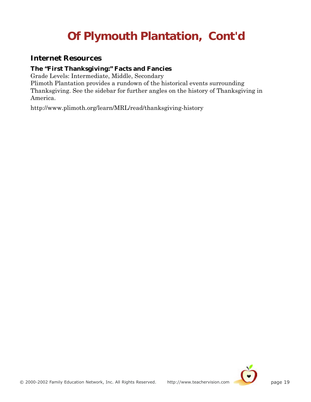# **Of Plymouth Plantation, Cont'd**

### **Internet Resources**

#### **The "First Thanksgiving:" Facts and Fancies**

Grade Levels: Intermediate, Middle, Secondary

Plimoth Plantation provides a rundown of the historical events surrounding Thanksgiving. See the sidebar for further angles on the history of Thanksgiving in America.

http://www.plimoth.org/learn/MRL/read/thanksgiving-history

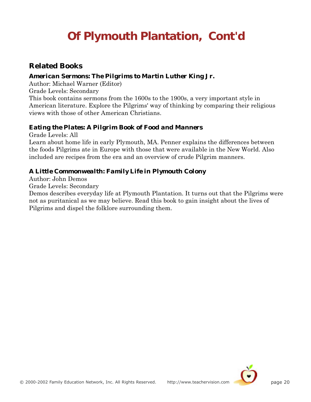# **Of Plymouth Plantation, Cont'd**

### **Related Books**

### *American Sermons: The Pilgrims to Martin Luther King Jr.*

Author: Michael Warner (Editor)

Grade Levels: Secondary

This book contains sermons from the 1600s to the 1900s, a very important style in American literature. Explore the Pilgrims' way of thinking by comparing their religious views with those of other American Christians.

### *Eating the Plates: A Pilgrim Book of Food and Manners*

Grade Levels: All

Learn about home life in early Plymouth, MA. Penner explains the differences between the foods Pilgrims ate in Europe with those that were available in the New World. Also included are recipes from the era and an overview of crude Pilgrim manners.

### *A Little Commonwealth: Family Life in Plymouth Colony*

Author: John Demos

Grade Levels: Secondary

Demos describes everyday life at Plymouth Plantation. It turns out that the Pilgrims were not as puritanical as we may believe. Read this book to gain insight about the lives of Pilgrims and dispel the folklore surrounding them.

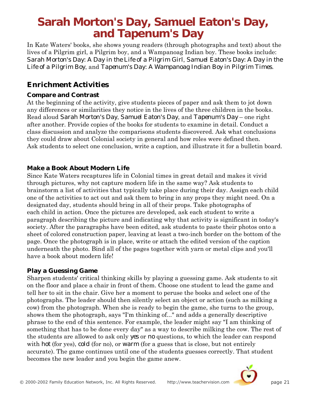## <span id="page-21-0"></span>**Sarah Morton's Day, Samuel Eaton's Day, and Tapenum's Day**

In Kate Waters' books, she shows young readers (through photographs and text) about the lives of a Pilgrim girl, a Pilgrim boy, and a Wampanoag Indian boy. These books include: *Sarah Morton's Day: A Day in the Life of a Pilgrim Girl*, *Samuel Eaton's Day: A Day in the Life of a Pilgrim Boy*, and *Tapenum's Day: A Wampanoag Indian Boy in Pilgrim Times*.

### **Enrichment Activities**

### **Compare and Contrast**

At the beginning of the activity, give students pieces of paper and ask them to jot down any differences or similarities they notice in the lives of the three children in the books. Read aloud *Sarah Morton's Day*, *Samuel Eaton's Day*, and *Tapenum's Day* – one right after another. Provide copies of the books for students to examine in detail. Conduct a class discussion and analyze the comparisons students discovered. Ask what conclusions they could draw about Colonial society in general and how roles were defined then. Ask students to select one conclusion, write a caption, and illustrate it for a bulletin board.

### **Make a Book About Modern Life**

Since Kate Waters recaptures life in Colonial times in great detail and makes it vivid through pictures, why not capture modern life in the same way? Ask students to brainstorm a list of activities that typically take place during their day. Assign each child one of the activities to act out and ask them to bring in any props they might need. On a designated day, students should bring in all of their props. Take photographs of each child in action. Once the pictures are developed, ask each student to write a paragraph describing the picture and indicating why that activity is significant in today's society. After the paragraphs have been edited, ask students to paste their photos onto a sheet of colored construction paper, leaving at least a two-inch border on the bottom of the page. Once the photograph is in place, write or attach the edited version of the caption underneath the photo. Bind all of the pages together with yarn or metal clips and you'll have a book about modern life!

### **Play a Guessing Game**

Sharpen students' critical thinking skills by playing a guessing game. Ask students to sit on the floor and place a chair in front of them. Choose one student to lead the game and tell her to sit in the chair. Give her a moment to peruse the books and select one of the photographs. The leader should then silently select an object or action (such as milking a cow) from the photograph. When she is ready to begin the game, she turns to the group, shows them the photograph, says "I'm thinking of..." and adds a generally descriptive phrase to the end of this sentence. For example, the leader might say "I am thinking of something that has to be done every day" as a way to describe milking the cow. The rest of the students are allowed to ask only *yes* or *no* questions, to which the leader can respond with *hot* (for yes), *cold* (for no), or *warm* (for a guess that is close, but not entirely accurate). The game continues until one of the students guesses correctly. That student becomes the new leader and you begin the game anew.

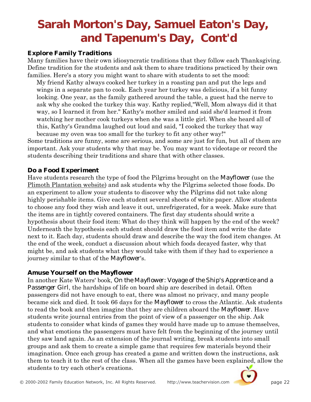# **Sarah Morton's Day, Samuel Eaton's Day, and Tapenum's Day, Cont'd**

#### **Explore Family Traditions**

Many families have their own idiosyncratic traditions that they follow each Thanksgiving. Define tradition for the students and ask them to share traditions practiced by their own families. Here's a story you might want to share with students to set the mood:

My friend Kathy always cooked her turkey in a roasting pan and put the legs and wings in a separate pan to cook. Each year her turkey was delicious, if a bit funny looking. One year, as the family gathered around the table, a guest had the nerve to ask why she cooked the turkey this way. Kathy replied,"Well, Mom always did it that way, so I learned it from her." Kathy's mother smiled and said she'd learned it from watching her mother cook turkeys when she was a little girl. When she heard all of this, Kathy's Grandma laughed out loud and said, "I cooked the turkey that way because my oven was too small for the turkey to fit any other way!"

Some traditions are funny, some are serious, and some are just for fun, but all of them are important. Ask your students why that may be. You may want to videotape or record the students describing their traditions and share that with other classes.

#### **Do a Food Experiment**

Have students research the type of food the Pilgrims brought on the *Mayflower* (use the Plimoth Plantation website) and ask students why the Pilgrims selected those foods. Do an experiment to allow your students to discover why the Pilgrims did not take along highly perishable items. Give each student several sheets of white paper. Allow students to choose any food they wish and leave it out, unrefrigerated, for a week. Make sure that the items are in tightly covered containers. The first day students should write a hypothesis about their food item: What do they think will happen by the end of the week? Underneath the hypothesis each student should draw the food item and write the date next to it. Each day, students should draw and describe the way the food item changes. At the end of the week, conduct a discussion about which foods decayed faster, why that might be, and ask students what they would take with them if they had to experience a journey similar to that of the *Mayflower*'s.

#### **Amuse Yourself on the** *Mayflower*

In another Kate Waters' book, *On the Mayflower: Voyage of the Ship's Apprentice and a Passenger Girl*, the hardships of life on board ship are described in detail. Often passengers did not have enough to eat, there was almost no privacy, and many people became sick and died. It took 66 days for the *Mayflower* to cross the Atlantic. Ask students to read the book and then imagine that they are children aboard the *Mayflower*. Have students write journal entries from the point of view of a passenger on the ship. Ask students to consider what kinds of games they would have made up to amuse themselves, and what emotions the passengers must have felt from the beginning of the journey until they saw land again. As an extension of the journal writing, break students into small groups and ask them to create a simple game that requires few materials beyond their imagination. Once each group has created a game and written down the instructions, ask them to teach it to the rest of the class. When all the games have been explained, allow the students to try each other's creations.

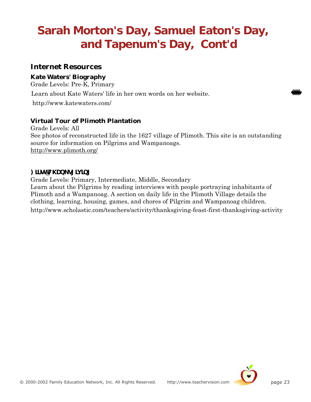# **Sarah Morton's Day, Samuel Eaton's Day, and Tapenum's Day, Cont'd**

### **Internet Resources**

#### **Kate Waters' Biography**

Grade Levels: Pre-K, Primary

Learn about Kate Waters' life in her own words on her website.

http://www.katewaters.com/

### **Virtual Tour of Plimoth Plantation**

Grade Levels: All See photos of reconstructed life in the 1627 village of Plimoth. This site is an outstanding source for information on Pilgrims and Wampanoags. http://www.plimoth.org/

### $\blacksquare$ **)** [II ]**p**  $\blacksquare$

Grade Levels: Primary, Intermediate, Middle, Secondary Learn about the Pilgrims by reading interviews with people portraying inhabitants of Plimoth and a Wampanoag. A section on daily life in the Plimoth Village details the clothing, learning, housing, games, and chores of Pilgrim and Wampanoag children. http://www.scholastic.com/teachers/activity/thanksgiving-feast-first-thanksgiving-activity

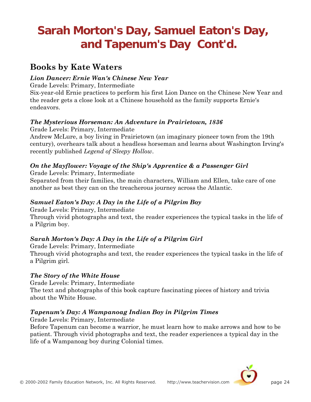# **Sarah Morton's Day, Samuel Eaton's Day, and Tapenum's Day Cont'd.**

### **Books by Kate Waters**

### *Lion Dancer: Ernie Wan's Chinese New Year*

Grade Levels: Primary, Intermediate

Six-year-old Ernie practices to perform his first Lion Dance on the Chinese New Year and the reader gets a close look at a Chinese household as the family supports Ernie's endeavors.

### *The Mysterious Horseman: An Adventure in Prairietown, 1836*

Grade Levels: Primary, Intermediate

Andrew McLure, a boy living in Prairietown (an imaginary pioneer town from the 19th century), overhears talk about a headless horseman and learns about Washington Irving's recently published *Legend of Sleepy Hollow*.

### *On the Mayflower: Voyage of the Ship's Apprentice & a Passenger Girl*

Grade Levels: Primary, Intermediate Separated from their families, the main characters, William and Ellen, take care of one another as best they can on the treacherous journey across the Atlantic.

### *Samuel Eaton's Day: A Day in the Life of a Pilgrim Boy*

Grade Levels: Primary, Intermediate

Through vivid photographs and text, the reader experiences the typical tasks in the life of a Pilgrim boy.

### *Sarah Morton's Day: A Day in the Life of a Pilgrim Girl*

Grade Levels: Primary, Intermediate Through vivid photographs and text, the reader experiences the typical tasks in the life of a Pilgrim girl.

### *The Story of the White House*

Grade Levels: Primary, Intermediate The text and photographs of this book capture fascinating pieces of history and trivia about the White House.

### *Tapenum's Day: A Wampanoag Indian Boy in Pilgrim Times*

Grade Levels: Primary, Intermediate

Before Tapenum can become a warrior, he must learn how to make arrows and how to be patient. Through vivid photographs and text, the reader experiences a typical day in the life of a Wampanoag boy during Colonial times.

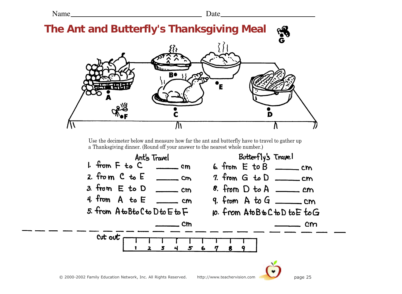Name Date

<span id="page-25-0"></span>

Use the decimeter below and measure how far the ant and butterfly have to travel to gather up a Thanksgiving dinner. (Round off your answer to the nearest whole number.)

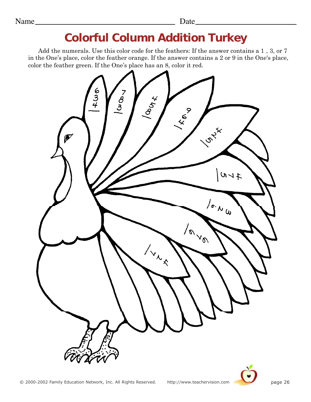## **Colorful Column Addition Turkey**

<span id="page-26-0"></span>Add the numerals. Use this color code for the feathers: If the answer contains a 1 , 3, or 7 in the One's place, color the feather orange. If the answer contains a 2 or 9 in the One's place, color the feather green. If the One's place has an 8, color it red.



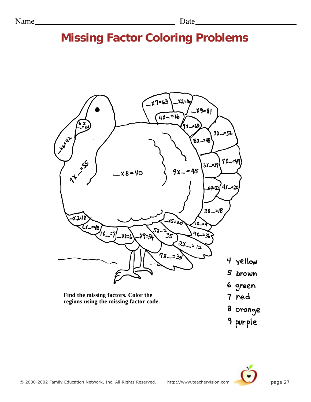## <span id="page-27-0"></span>**Missing Factor Coloring Problems**



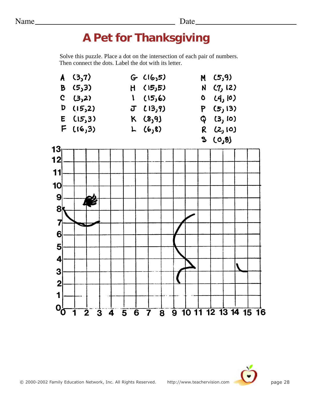### <span id="page-28-0"></span>Name Date Date Date

# **A Pet for Thanksgiving**

Solve this puzzle. Place a dot on the intersection of each pair of numbers. Then connect the dots. Label the dot with its letter.



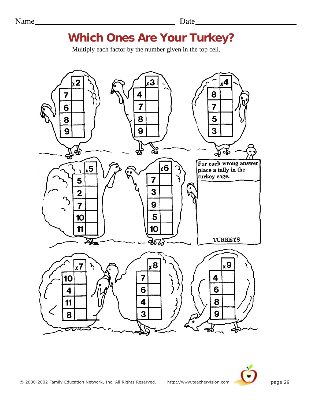### **Which Ones Are Your Turkey?**

Multiply each factor by the number given in the top cell.

<span id="page-29-0"></span>

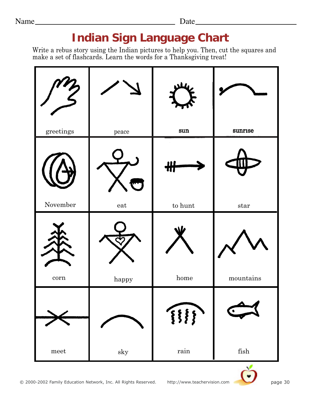### <span id="page-30-0"></span>Name Date Date Date

## **Indian Sign Language Chart**

Write a rebus story using the Indian pictures to help you. Then, cut the squares and make a set of flashcards. Learn the words for a Thanksgiving treat!



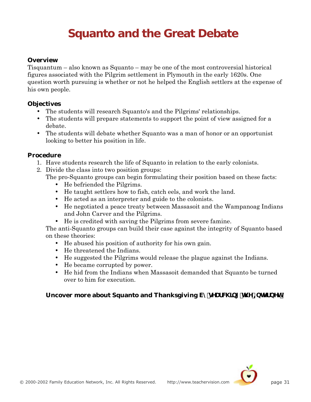# **Squanto and the Great Debate**

#### <span id="page-31-0"></span>**Overview**

Tisquantum – also known as Squanto – may be one of the most controversial historical figures associated with the Pilgrim settlement in Plymouth in the early 1620s. One question worth pursuing is whether or not he helped the English settlers at the expense of his own people.

#### **Objectives**

- The students will research Squanto's and the Pilgrims' relationships.
- The students will prepare statements to support the point of view assigned for a debate.
- The students will debate whether Squanto was a man of honor or an opportunist looking to better his position in life.

#### **Procedure**

- 1. Have students research the life of Squanto in relation to the early colonists.
- 2. Divide the class into two position groups: The pro-Squanto groups can begin formulating their position based on these facts:
	- He befriended the Pilgrims.
	- He taught settlers how to fish, catch eels, and work the land.
	- He acted as an interpreter and guide to the colonists.
	- He negotiated a peace treaty between Massasoit and the Wampanoag Indians and John Carver and the Pilgrims.
	- He is credited with saving the Pilgrims from severe famine.

The anti-Squanto groups can build their case against the integrity of Squanto based on these theories:

- He abused his position of authority for his own gain.
- He threatened the Indians.
- He suggested the Pilgrims would release the plague against the Indians.
- He became corrupted by power.
- He hid from the Indians when Massasoit demanded that Squanto be turned over to him for execution.

#### **Uncover more about Squanto and Thanksgiving VmgYUfWJb[ Th Y=bMTbYH'**

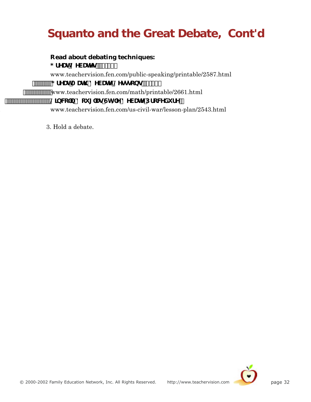# **Squanto and the Great Debate, Cont'd**

**Read about debating techniques: : fYUh8YVUng fi!%&L** www.teachervision.fen.com/public-speaking/printable/2587.html """""; fYUhA Uh '8YVUh<sup>y</sup>@Ygggcbgff!%&L www.teachervision.fen.com/math/printable/2661.html <sup>..........</sup>@]bW`b!8ci [`UgGlmY8YVUhYDfcWXi fY' 3. www.teachervision.fen.com/us-civil-war/lesson-plan/2543.html

3. Hold a debate.

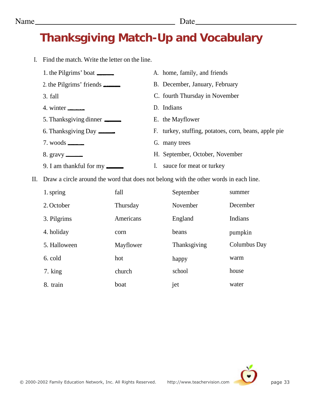# <span id="page-33-0"></span>**Thanksgiving Match-Up and Vocabulary**

I. Find the match. Write the letter on the line.

| Find the match. Write the letter on the line. |                                                       |
|-----------------------------------------------|-------------------------------------------------------|
| 1. the Pilgrims' boat ________                | A. home, family, and friends                          |
| 2. the Pilgrims' friends                      | B. December, January, February                        |
| 3. fall                                       | C. fourth Thursday in November                        |
| 4. winter $\frac{1}{2}$                       | D. Indians                                            |
|                                               | E. the Mayflower                                      |
|                                               | F. turkey, stuffing, potatoes, corn, beans, apple pie |
| $7.$ woods $\equiv$                           | G. many trees                                         |
| 8. gravy $\frac{ }{ }$                        | H. September, October, November                       |
| 9. I am thankful for my _______               | I. sauce for meat or turkey                           |
|                                               |                                                       |

II. Draw a circle around the word that does not belong with the other words in each line.

| 1. spring    | fall      | September    | summer       |
|--------------|-----------|--------------|--------------|
| 2. October   | Thursday  | November     | December     |
| 3. Pilgrims  | Americans | England      | Indians      |
| 4. holiday   | corn      | beans        | pumpkin      |
| 5. Halloween | Mayflower | Thanksgiving | Columbus Day |
| 6. cold      | hot       | happy        | warm         |
| 7. king      | church    | school       | house        |
| 8. train     | boat      | jet          | water        |

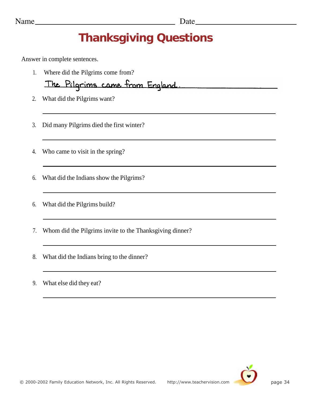# **Thanksgiving Questions**

<span id="page-34-0"></span>Answer in complete sentences.

1. Where did the Pilgrims come from?

The Pilgrims came from England.

- 2. What did the Pilgrims want?
- 3. Did many Pilgrims died the first winter?
- 4. Who came to visit in the spring?
- 6. What did the Indians show the Pilgrims?
- 6. What did the Pilgrims build?
- 7. Whom did the Pilgrims invite to the Thanksgiving dinner?
- 8. What did the Indians bring to the dinner?
- 9. What else did they eat?

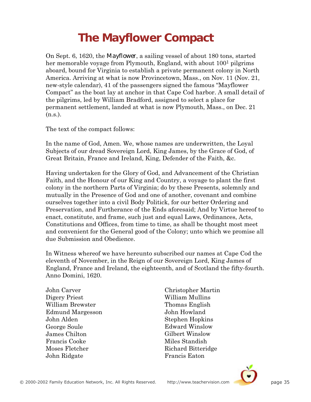# **The Mayflower Compact**

<span id="page-35-0"></span>On Sept. 6, 1620, the *Mayflower*, a sailing vessel of about 180 tons, started her memorable voyage from Plymouth, England, with about 100<sup>1</sup> pilgrims aboard, bound for Virginia to establish a private permanent colony in North America. Arriving at what is now Provincetown, Mass., on Nov. 11 (Nov. 21, new-style calendar), 41 of the passengers signed the famous "Mayflower Compact" as the boat lay at anchor in that Cape Cod harbor. A small detail of the pilgrims, led by William Bradford, assigned to select a place for permanent settlement, landed at what is now Plymouth, Mass., on Dec. 21  $(n.s.).$ 

The text of the compact follows:

In the name of God, Amen. We, whose names are underwritten, the Loyal Subjects of our dread Sovereign Lord, King James, by the Grace of God, of Great Britain, France and Ireland, King, Defender of the Faith, &c.

Having undertaken for the Glory of God, and Advancement of the Christian Faith, and the Honour of our King and Country, a voyage to plant the first colony in the northern Parts of Virginia; do by these Presents, solemnly and mutually in the Presence of God and one of another, covenant and combine ourselves together into a civil Body Politick, for our better Ordering and Preservation, and Furtherance of the Ends aforesaid; And by Virtue hereof to enact, constitute, and frame, such just and equal Laws, Ordinances, Acts, Constitutions and Offices, from time to time, as shall be thought most meet and convenient for the General good of the Colony; unto which we promise all due Submission and Obedience.

In Witness whereof we have hereunto subscribed our names at Cape Cod the eleventh of November, in the Reign of our Sovereign Lord, King James of England, France and Ireland, the eighteenth, and of Scotland the fifty-fourth. Anno Domini, 1620.

John Carver Digery Priest William Brewster Edmund Margesson John Alden George Soule James Chilton Francis Cooke Moses Fletcher John Ridgate

Christopher Martin William Mullins Thomas English John Howland Stephen Hopkins Edward Winslow Gilbert Winslow Miles Standish Richard Bitteridge Francis Eaton

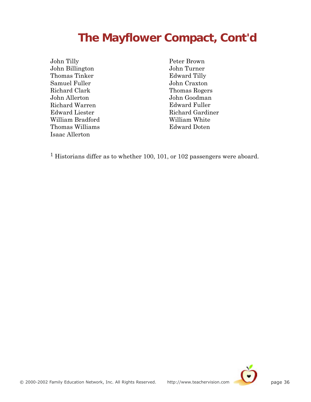## **The Mayflower Compact, Cont'd**

John Tilly John Billington Thomas Tinker Samuel Fuller Richard Clark John Allerton Richard Warren Edward Liester William Bradford Thomas Williams Isaac Allerton

Peter Brown John Turner Edward Tilly John Craxton Thomas Rogers John Goodman Edward Fuller Richard Gardiner William White Edward Doten

1 Historians differ as to whether 100, 101, or 102 passengers were aboard.

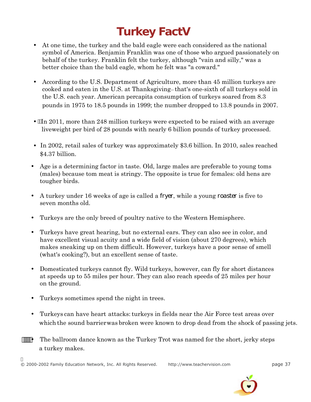# **Turkey Factq**

- <span id="page-37-0"></span>• At one time, the turkey and the bald eagle were each considered as the national symbol of America. Benjamin Franklin was one of those who argued passionately on behalf of the turkey. Franklin felt the turkey, although "vain and silly," was a better choice than the bald eagle, whom he felt was "a coward."
- According to the U.S. Department of Agriculture, more than 45 million turkeys are cooked and eaten in the U.S. at Thanksgiving—that's one-sixth of all turkeys sold in the U.S. each year. American percapita consumption of turkeys soared from 8.3 pounds in 1975 to 18.5 pounds in 1999; the number dropped to 13.8 pounds in 2007.
- $\hat{A}$ n 2011, more than 248 million turkeys were expected to be raised with an average liveweight per bird of 28 pounds with nearly 6 billion pounds of turkey processed.
- In 2002, retail sales of turkey was approximately \$3.6 billion. In 2010, sales reached \$4.37 billion.
- Age is a determining factor in taste. Old, large males are preferable to young toms (males) because tom meat is stringy. The opposite is true for females: old hens are tougher birds.
- A turkey under 16 weeks of age is called a *fryer*, while a young *roaster* is five to seven months old.
- Turkeys are the only breed of poultry native to the Western Hemisphere.
- Turkeys have great hearing, but no external ears. They can also see in color, and have excellent visual acuity and a wide field of vision (about 270 degrees), which makes sneaking up on them difficult. However, turkeys have a poor sense of smell (what's cooking?), but an excellent sense of taste.
- Domesticated turkeys cannot fly. Wild turkeys, however, can fly for short distances at speeds up to 55 miles per hour. They can also reach speeds of 25 miles per hour on the ground.
- Turkeys sometimes spend the night in trees.
- Turkeys can have heart attacks: turkeys in fields near the Air Force test areas over which the sound barrier was broken were known to drop dead from the shock of passing jets.
- **###\*** The ballroom dance known as the Turkey Trot was named for the short, jerky steps a turkey makes.

 $\ddot{\phantom{0}}$ © 2000-2002 Family Education Network, Inc. All Rights Reserved. http://www.teachervision.com page 37